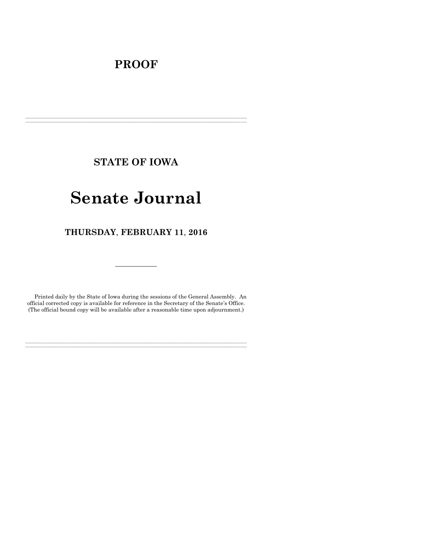# **PROOF**

**STATE OF IOWA**

**\_\_\_\_\_\_\_\_\_\_\_\_\_\_\_\_\_\_\_\_\_\_\_\_\_\_\_\_\_\_\_\_\_\_\_\_\_\_\_\_\_\_\_\_\_\_\_\_\_\_\_\_\_\_\_\_\_\_\_\_\_\_\_\_\_\_\_\_\_\_\_\_\_\_\_\_\_\_\_\_\_\_\_\_\_\_\_\_\_\_\_\_\_\_\_\_\_\_\_\_\_\_\_\_\_\_\_\_\_\_\_\_\_\_\_\_\_\_\_\_\_\_\_\_\_\_\_\_\_ \_\_\_\_\_\_\_\_\_\_\_\_\_\_\_\_\_\_\_\_\_\_\_\_\_\_\_\_\_\_\_\_\_\_\_\_\_\_\_\_\_\_\_\_\_\_\_\_\_\_\_\_\_\_\_\_\_\_\_\_\_\_\_\_\_\_\_\_\_\_\_\_\_\_\_\_\_\_\_\_\_\_\_\_\_\_\_\_\_\_\_\_\_\_\_\_\_\_\_\_\_\_\_\_\_\_\_\_\_\_\_\_\_\_\_\_\_\_\_\_\_\_\_\_\_\_\_\_\_**

# **Senate Journal**

**THURSDAY**, **FEBRUARY 11**, **2016**

Printed daily by the State of Iowa during the sessions of the General Assembly. An official corrected copy is available for reference in the Secretary of the Senate's Office. (The official bound copy will be available after a reasonable time upon adjournment.)

**\_\_\_\_\_\_\_\_\_\_\_\_\_\_\_\_\_\_\_\_\_\_\_\_\_\_\_\_\_\_\_\_\_\_\_\_\_\_\_\_\_\_\_\_\_\_\_\_\_\_\_\_\_\_\_\_\_\_\_\_\_\_\_\_\_\_\_\_\_\_\_\_\_\_\_\_\_\_\_\_\_\_\_\_\_\_\_\_\_\_\_\_\_\_\_\_\_\_\_\_\_\_\_\_\_\_\_\_\_\_\_\_\_\_\_\_\_\_\_\_\_\_\_\_\_\_\_\_\_ \_\_\_\_\_\_\_\_\_\_\_\_\_\_\_\_\_\_\_\_\_\_\_\_\_\_\_\_\_\_\_\_\_\_\_\_\_\_\_\_\_\_\_\_\_\_\_\_\_\_\_\_\_\_\_\_\_\_\_\_\_\_\_\_\_\_\_\_\_\_\_\_\_\_\_\_\_\_\_\_\_\_\_\_\_\_\_\_\_\_\_\_\_\_\_\_\_\_\_\_\_\_\_\_\_\_\_\_\_\_\_\_\_\_\_\_\_\_\_\_\_\_\_\_\_\_\_\_\_**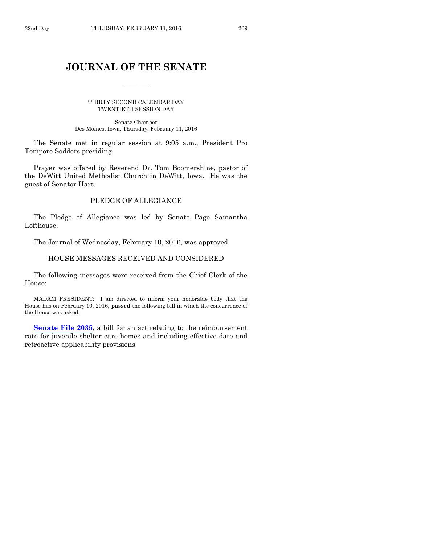# **JOURNAL OF THE SENATE**

 $\frac{1}{2}$ 

THIRTY-SECOND CALENDAR DAY TWENTIETH SESSION DAY

Senate Chamber Des Moines, Iowa, Thursday, February 11, 2016

The Senate met in regular session at 9:05 a.m., President Pro Tempore Sodders presiding.

Prayer was offered by Reverend Dr. Tom Boomershine, pastor of the DeWitt United Methodist Church in DeWitt, Iowa. He was the guest of Senator Hart.

# PLEDGE OF ALLEGIANCE

The Pledge of Allegiance was led by Senate Page Samantha Lofthouse.

The Journal of Wednesday, February 10, 2016, was approved.

# HOUSE MESSAGES RECEIVED AND CONSIDERED

The following messages were received from the Chief Clerk of the House:

MADAM PRESIDENT: I am directed to inform your honorable body that the House has on February 10, 2016, **passed** the following bill in which the concurrence of the House was asked:

**[Senate File 2035](http://coolice.legis.iowa.gov/Cool-ICE/default.asp?Category=billinfo&Service=Billbook&frame=1&GA=86&hbill=SF2035)**, a bill for an act relating to the reimbursement rate for juvenile shelter care homes and including effective date and retroactive applicability provisions.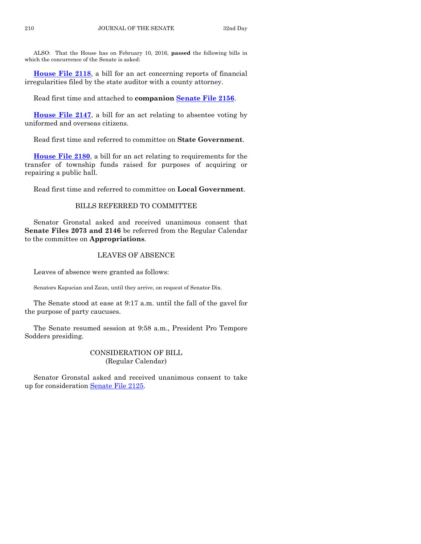ALSO: That the House has on February 10, 2016, **passed** the following bills in which the concurrence of the Senate is asked:

**[House File 2118](http://coolice.legis.iowa.gov/Cool-ICE/default.asp?Category=billinfo&Service=Billbook&frame=1&GA=86&hbill=HF2118)**, a bill for an act concerning reports of financial irregularities filed by the state auditor with a county attorney.

Read first time and attached to **companion [Senate File 2156](http://coolice.legis.iowa.gov/Cool-ICE/default.asp?Category=billinfo&Service=Billbook&frame=1&GA=86&hbill=SF2156)**.

**[House File 2147](http://coolice.legis.iowa.gov/Cool-ICE/default.asp?Category=billinfo&Service=Billbook&frame=1&GA=86&hbill=HF2147)**, a bill for an act relating to absentee voting by uniformed and overseas citizens.

Read first time and referred to committee on **State Government**.

**[House File 2180](http://coolice.legis.iowa.gov/Cool-ICE/default.asp?Category=billinfo&Service=Billbook&frame=1&GA=86&hbill=HF2180)**, a bill for an act relating to requirements for the transfer of township funds raised for purposes of acquiring or repairing a public hall.

Read first time and referred to committee on **Local Government**.

# BILLS REFERRED TO COMMITTEE

Senator Gronstal asked and received unanimous consent that **Senate Files 2073 and 2146** be referred from the Regular Calendar to the committee on **Appropriations**.

# LEAVES OF ABSENCE

Leaves of absence were granted as follows:

Senators Kapucian and Zaun, until they arrive, on request of Senator Dix.

The Senate stood at ease at 9:17 a.m. until the fall of the gavel for the purpose of party caucuses.

The Senate resumed session at 9:58 a.m., President Pro Tempore Sodders presiding.

# CONSIDERATION OF BILL (Regular Calendar)

Senator Gronstal asked and received unanimous consent to take up for consideration [Senate File 2125.](http://coolice.legis.iowa.gov/Cool-ICE/default.asp?Category=billinfo&Service=Billbook&frame=1&GA=86&hbill=SF2125)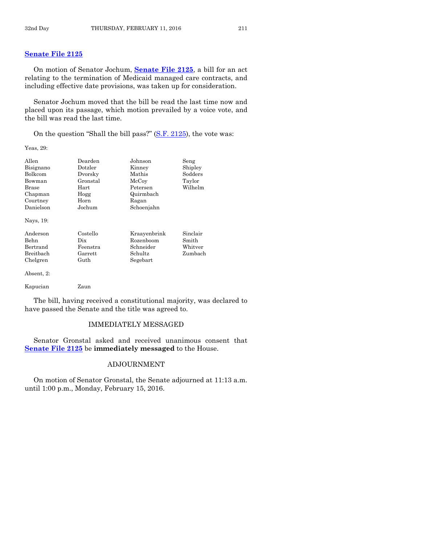On motion of Senator Jochum, **[Senate File 2125](http://coolice.legis.iowa.gov/Cool-ICE/default.asp?Category=billinfo&Service=Billbook&frame=1&GA=86&hbill=SF2125)**, a bill for an act relating to the termination of Medicaid managed care contracts, and including effective date provisions, was taken up for consideration.

Senator Jochum moved that the bill be read the last time now and placed upon its passage, which motion prevailed by a voice vote, and the bill was read the last time.

On the question "Shall the bill pass?" [\(S.F. 2125\)](http://coolice.legis.iowa.gov/Cool-ICE/default.asp?Category=billinfo&Service=Billbook&frame=1&GA=86&hbill=SF2125), the vote was:

Yeas, 29:

| Allen      | Dearden  | Johnson      | Seng     |
|------------|----------|--------------|----------|
| Bisignano  | Dotzler  | Kinney       | Shipley  |
| Bolkcom    | Dvorsky  | Mathis       | Sodders  |
| Bowman     | Gronstal | McCoy        | Taylor   |
| Brase      | Hart     | Petersen     | Wilhelm  |
| Chapman    | Hogg     | Quirmbach    |          |
| Courtney   | Horn     | Ragan        |          |
| Danielson  | Jochum   | Schoenjahn   |          |
| Nays, 19:  |          |              |          |
| Anderson   | Costello | Kraavenbrink | Sinclair |
| Behn       | Dix      | Rozenboom    | Smith    |
| Bertrand   | Feenstra | Schneider    | Whitver  |
| Breitbach  | Garrett  | Schultz      | Zumbach  |
| Chelgren   | Guth     | Segebart     |          |
|            |          |              |          |
| Absent, 2: |          |              |          |

The bill, having received a constitutional majority, was declared to have passed the Senate and the title was agreed to.

# IMMEDIATELY MESSAGED

Senator Gronstal asked and received unanimous consent that **[Senate File 2125](http://coolice.legis.iowa.gov/Cool-ICE/default.asp?Category=billinfo&Service=Billbook&frame=1&GA=86&hbill=SF2125)** be **immediately messaged** to the House.

# ADJOURNMENT

On motion of Senator Gronstal, the Senate adjourned at 11:13 a.m. until 1:00 p.m., Monday, February 15, 2016.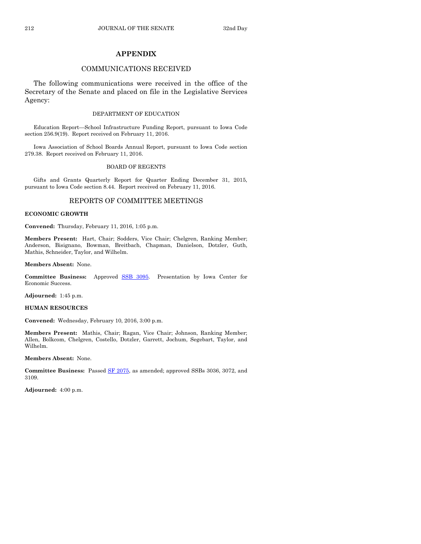# **APPENDIX**

# COMMUNICATIONS RECEIVED

The following communications were received in the office of the Secretary of the Senate and placed on file in the Legislative Services Agency:

#### DEPARTMENT OF EDUCATION

Education Report—School Infrastructure Funding Report, pursuant to Iowa Code section 256.9(19). Report received on February 11, 2016.

Iowa Association of School Boards Annual Report, pursuant to Iowa Code section 279.38. Report received on February 11, 2016.

#### BOARD OF REGENTS

Gifts and Grants Quarterly Report for Quarter Ending December 31, 2015, pursuant to Iowa Code section 8.44. Report received on February 11, 2016.

# REPORTS OF COMMITTEE MEETINGS

#### **ECONOMIC GROWTH**

**Convened:** Thursday, February 11, 2016, 1:05 p.m.

**Members Present:** Hart, Chair; Sodders, Vice Chair; Chelgren, Ranking Member; Anderson, Bisignano, Bowman, Breitbach, Chapman, Danielson, Dotzler, Guth, Mathis, Schneider, Taylor, and Wilhelm.

#### **Members Absent:** None.

**Committee Business:** Approved SSB [3095.](http://coolice.legis.iowa.gov/Cool-ICE/default.asp?Category=billinfo&Service=Billbook&frame=1&GA=86&hbill=SSB3095) Presentation by Iowa Center for Economic Success.

**Adjourned:** 1:45 p.m.

#### **HUMAN RESOURCES**

**Convened:** Wednesday, February 10, 2016, 3:00 p.m.

**Members Present:** Mathis, Chair; Ragan, Vice Chair; Johnson, Ranking Member; Allen, Bolkcom, Chelgren, Costello, Dotzler, Garrett, Jochum, Segebart, Taylor, and Wilhelm.

**Members Absent:** None.

**Committee Business:** Passed [SF 2075,](http://coolice.legis.iowa.gov/Cool-ICE/default.asp?Category=billinfo&Service=Billbook&frame=1&GA=86&hbill=SF2075) as amended; approved SSBs 3036, 3072, and 3109.

**Adjourned:** 4:00 p.m.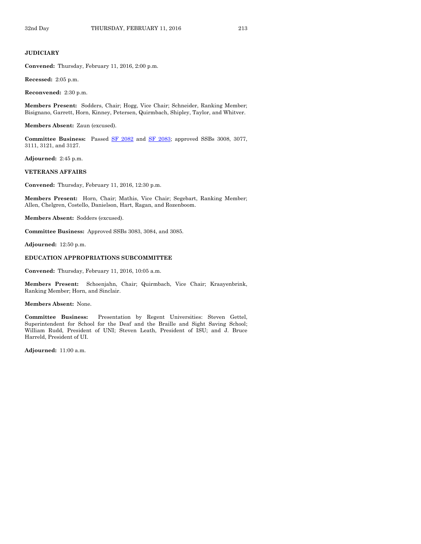#### **JUDICIARY**

**Convened:** Thursday, February 11, 2016, 2:00 p.m.

**Recessed:** 2:05 p.m.

**Reconvened:** 2:30 p.m.

**Members Present:** Sodders, Chair; Hogg, Vice Chair; Schneider, Ranking Member; Bisignano, Garrett, Horn, Kinney, Petersen, Quirmbach, Shipley, Taylor, and Whitver.

**Members Absent:** Zaun (excused).

**Committee Business:** Passed [SF 2082](http://coolice.legis.iowa.gov/Cool-ICE/default.asp?Category=billinfo&Service=Billbook&frame=1&GA=86&hbill=SF2082) and [SF 2083;](http://coolice.legis.iowa.gov/Cool-ICE/default.asp?Category=billinfo&Service=Billbook&frame=1&GA=86&hbill=SF2083) approved SSBs 3008, 3077, 3111, 3121, and 3127.

**Adjourned:** 2:45 p.m.

#### **VETERANS AFFAIRS**

**Convened:** Thursday, February 11, 2016, 12:30 p.m.

**Members Present:** Horn, Chair; Mathis, Vice Chair; Segebart, Ranking Member; Allen, Chelgren, Costello, Danielson, Hart, Ragan, and Rozenboom.

**Members Absent:** Sodders (excused).

**Committee Business:** Approved SSBs 3083, 3084, and 3085.

**Adjourned:** 12:50 p.m.

#### **EDUCATION APPROPRIATIONS SUBCOMMITTEE**

**Convened:** Thursday, February 11, 2016, 10:05 a.m.

**Members Present:** Schoenjahn, Chair; Quirmbach, Vice Chair; Kraayenbrink, Ranking Member; Horn, and Sinclair.

#### **Members Absent:** None.

**Committee Business:** Presentation by Regent Universities: Steven Gettel, Superintendent for School for the Deaf and the Braille and Sight Saving School; William Rudd, President of UNI; Steven Leath, President of ISU; and J. Bruce Harreld, President of UI.

**Adjourned:** 11:00 a.m.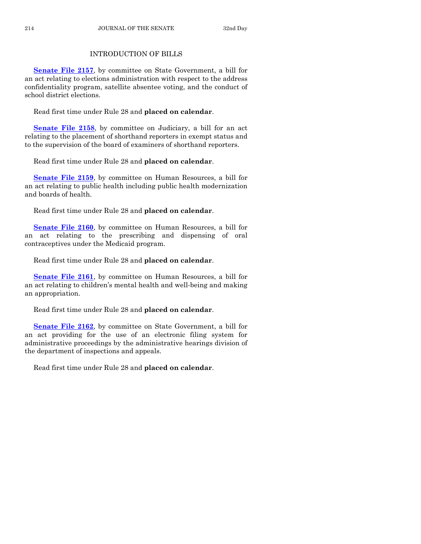# INTRODUCTION OF BILLS

**[Senate File 2157](http://coolice.legis.iowa.gov/Cool-ICE/default.asp?Category=billinfo&Service=Billbook&frame=1&GA=86&hbill=SF2157)**, by committee on State Government, a bill for an act relating to elections administration with respect to the address confidentiality program, satellite absentee voting, and the conduct of school district elections.

Read first time under Rule 28 and **placed on calendar**.

**[Senate File 2158](http://coolice.legis.iowa.gov/Cool-ICE/default.asp?Category=billinfo&Service=Billbook&frame=1&GA=86&hbill=SF2158)**, by committee on Judiciary, a bill for an act relating to the placement of shorthand reporters in exempt status and to the supervision of the board of examiners of shorthand reporters.

Read first time under Rule 28 and **placed on calendar**.

**[Senate File 2159](http://coolice.legis.iowa.gov/Cool-ICE/default.asp?Category=billinfo&Service=Billbook&frame=1&GA=86&hbill=SF2159)**, by committee on Human Resources, a bill for an act relating to public health including public health modernization and boards of health.

Read first time under Rule 28 and **placed on calendar**.

**[Senate File 2160](http://coolice.legis.iowa.gov/Cool-ICE/default.asp?Category=billinfo&Service=Billbook&frame=1&GA=86&hbill=SF2160)**, by committee on Human Resources, a bill for an act relating to the prescribing and dispensing of oral contraceptives under the Medicaid program.

Read first time under Rule 28 and **placed on calendar**.

**[Senate File 2161](http://coolice.legis.iowa.gov/Cool-ICE/default.asp?Category=billinfo&Service=Billbook&frame=1&GA=86&hbill=SF2161)**, by committee on Human Resources, a bill for an act relating to children's mental health and well-being and making an appropriation.

Read first time under Rule 28 and **placed on calendar**.

**[Senate File 2162](http://coolice.legis.iowa.gov/Cool-ICE/default.asp?Category=billinfo&Service=Billbook&frame=1&GA=86&hbill=SF2162)**, by committee on State Government, a bill for an act providing for the use of an electronic filing system for administrative proceedings by the administrative hearings division of the department of inspections and appeals.

Read first time under Rule 28 and **placed on calendar**.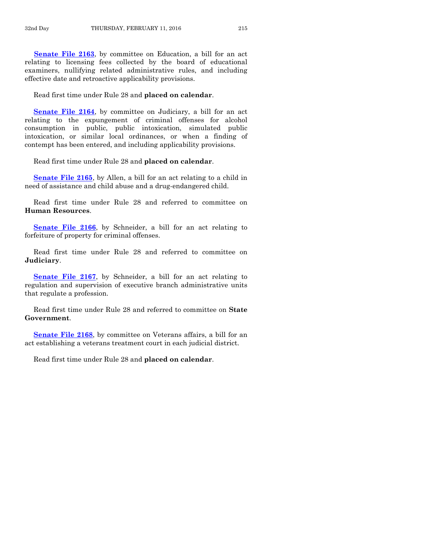**[Senate File 2163](http://coolice.legis.iowa.gov/Cool-ICE/default.asp?Category=billinfo&Service=Billbook&frame=1&GA=86&hbill=SF2163)**, by committee on Education, a bill for an act relating to licensing fees collected by the board of educational examiners, nullifying related administrative rules, and including effective date and retroactive applicability provisions.

Read first time under Rule 28 and **placed on calendar**.

**[Senate File 2164](http://coolice.legis.iowa.gov/Cool-ICE/default.asp?Category=billinfo&Service=Billbook&frame=1&GA=86&hbill=SF2164)**, by committee on Judiciary, a bill for an act relating to the expungement of criminal offenses for alcohol consumption in public, public intoxication, simulated public intoxication, or similar local ordinances, or when a finding of contempt has been entered, and including applicability provisions.

Read first time under Rule 28 and **placed on calendar**.

**[Senate File 2165](http://coolice.legis.iowa.gov/Cool-ICE/default.asp?Category=billinfo&Service=Billbook&frame=1&GA=86&hbill=SF2165)**, by Allen, a bill for an act relating to a child in need of assistance and child abuse and a drug-endangered child.

Read first time under Rule 28 and referred to committee on **Human Resources**.

**[Senate File 2166](http://coolice.legis.iowa.gov/Cool-ICE/default.asp?Category=billinfo&Service=Billbook&frame=1&GA=86&hbill=SF2166)**, by Schneider, a bill for an act relating to forfeiture of property for criminal offenses.

Read first time under Rule 28 and referred to committee on **Judiciary**.

**[Senate File 2167](http://coolice.legis.iowa.gov/Cool-ICE/default.asp?Category=billinfo&Service=Billbook&frame=1&GA=86&hbill=SF2167)**, by Schneider, a bill for an act relating to regulation and supervision of executive branch administrative units that regulate a profession.

Read first time under Rule 28 and referred to committee on **State Government**.

**[Senate File 2168](http://coolice.legis.iowa.gov/Cool-ICE/default.asp?Category=billinfo&Service=Billbook&frame=1&GA=86&hbill=SF2168)**, by committee on Veterans affairs, a bill for an act establishing a veterans treatment court in each judicial district.

Read first time under Rule 28 and **placed on calendar**.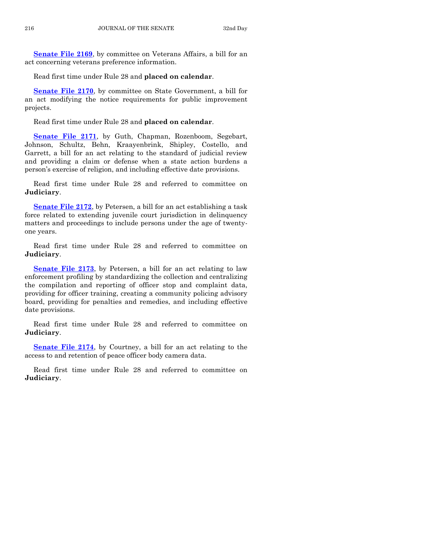**[Senate File 2169](http://coolice.legis.iowa.gov/Cool-ICE/default.asp?Category=billinfo&Service=Billbook&frame=1&GA=86&hbill=SF2169)**, by committee on Veterans Affairs, a bill for an act concerning veterans preference information.

Read first time under Rule 28 and **placed on calendar**.

**[Senate File 2170](http://coolice.legis.iowa.gov/Cool-ICE/default.asp?Category=billinfo&Service=Billbook&frame=1&GA=86&hbill=SF2170)**, by committee on State Government, a bill for an act modifying the notice requirements for public improvement projects.

Read first time under Rule 28 and **placed on calendar**.

**[Senate File 2171](http://coolice.legis.iowa.gov/Cool-ICE/default.asp?Category=billinfo&Service=Billbook&frame=1&GA=86&hbill=SF2171)**, by Guth, Chapman, Rozenboom, Segebart, Johnson, Schultz, Behn, Kraayenbrink, Shipley, Costello, and Garrett, a bill for an act relating to the standard of judicial review and providing a claim or defense when a state action burdens a person's exercise of religion, and including effective date provisions.

Read first time under Rule 28 and referred to committee on **Judiciary**.

**[Senate File 2172](http://coolice.legis.iowa.gov/Cool-ICE/default.asp?Category=billinfo&Service=Billbook&frame=1&GA=86&hbill=SF2172)**, by Petersen, a bill for an act establishing a task force related to extending juvenile court jurisdiction in delinquency matters and proceedings to include persons under the age of twentyone years.

Read first time under Rule 28 and referred to committee on **Judiciary**.

**[Senate File 2173](http://coolice.legis.iowa.gov/Cool-ICE/default.asp?Category=billinfo&Service=Billbook&frame=1&GA=86&hbill=SF2173)**, by Petersen, a bill for an act relating to law enforcement profiling by standardizing the collection and centralizing the compilation and reporting of officer stop and complaint data, providing for officer training, creating a community policing advisory board, providing for penalties and remedies, and including effective date provisions.

Read first time under Rule 28 and referred to committee on **Judiciary**.

**[Senate File 2174](http://coolice.legis.iowa.gov/Cool-ICE/default.asp?Category=billinfo&Service=Billbook&frame=1&GA=86&hbill=SF2174)**, by Courtney, a bill for an act relating to the access to and retention of peace officer body camera data.

Read first time under Rule 28 and referred to committee on **Judiciary**.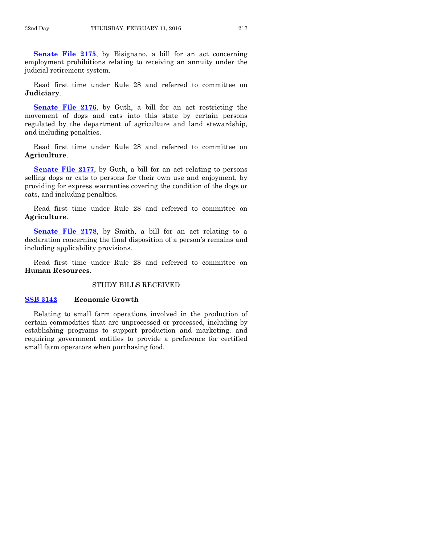**[Senate File 2175](http://coolice.legis.iowa.gov/Cool-ICE/default.asp?Category=billinfo&Service=Billbook&frame=1&GA=86&hbill=SF2175)**, by Bisignano, a bill for an act concerning employment prohibitions relating to receiving an annuity under the judicial retirement system.

Read first time under Rule 28 and referred to committee on **Judiciary**.

**[Senate File 2176](http://coolice.legis.iowa.gov/Cool-ICE/default.asp?Category=billinfo&Service=Billbook&frame=1&GA=86&hbill=SF2176)**, by Guth, a bill for an act restricting the movement of dogs and cats into this state by certain persons regulated by the department of agriculture and land stewardship, and including penalties.

Read first time under Rule 28 and referred to committee on **Agriculture**.

**[Senate File 2177](http://coolice.legis.iowa.gov/Cool-ICE/default.asp?Category=billinfo&Service=Billbook&frame=1&GA=86&hbill=SF2177)**, by Guth, a bill for an act relating to persons selling dogs or cats to persons for their own use and enjoyment, by providing for express warranties covering the condition of the dogs or cats, and including penalties.

Read first time under Rule 28 and referred to committee on **Agriculture**.

**[Senate File 2178](http://coolice.legis.iowa.gov/Cool-ICE/default.asp?Category=billinfo&Service=Billbook&frame=1&GA=86&hbill=SF2178)**, by Smith, a bill for an act relating to a declaration concerning the final disposition of a person's remains and including applicability provisions.

Read first time under Rule 28 and referred to committee on **Human Resources**.

# STUDY BILLS RECEIVED

# **[SSB 3142](http://coolice.legis.iowa.gov/Cool-ICE/default.asp?Category=billinfo&Service=Billbook&frame=1&GA=86&hbill=SSB3142) Economic Growth**

Relating to small farm operations involved in the production of certain commodities that are unprocessed or processed, including by establishing programs to support production and marketing, and requiring government entities to provide a preference for certified small farm operators when purchasing food.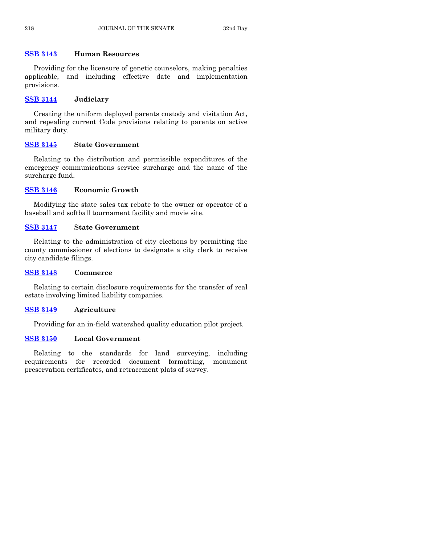# **[SSB 3143](http://coolice.legis.iowa.gov/Cool-ICE/default.asp?Category=billinfo&Service=Billbook&frame=1&GA=86&hbill=SSB3143) Human Resources**

Providing for the licensure of genetic counselors, making penalties applicable, and including effective date and implementation provisions.

# **[SSB 3144](http://coolice.legis.iowa.gov/Cool-ICE/default.asp?Category=billinfo&Service=Billbook&frame=1&GA=86&hbill=SSB3144) Judiciary**

Creating the uniform deployed parents custody and visitation Act, and repealing current Code provisions relating to parents on active military duty.

# **[SSB 3145](http://coolice.legis.iowa.gov/Cool-ICE/default.asp?Category=billinfo&Service=Billbook&frame=1&GA=86&hbill=SSB3145) State Government**

Relating to the distribution and permissible expenditures of the emergency communications service surcharge and the name of the surcharge fund.

# **[SSB 3146](http://coolice.legis.iowa.gov/Cool-ICE/default.asp?Category=billinfo&Service=Billbook&frame=1&GA=86&hbill=SSB3146) Economic Growth**

Modifying the state sales tax rebate to the owner or operator of a baseball and softball tournament facility and movie site.

# **[SSB 3147](http://coolice.legis.iowa.gov/Cool-ICE/default.asp?Category=billinfo&Service=Billbook&frame=1&GA=86&hbill=SSB3147) State Government**

Relating to the administration of city elections by permitting the county commissioner of elections to designate a city clerk to receive city candidate filings.

# **[SSB 3148](http://coolice.legis.iowa.gov/Cool-ICE/default.asp?Category=billinfo&Service=Billbook&frame=1&GA=86&hbill=SSB3148) Commerce**

Relating to certain disclosure requirements for the transfer of real estate involving limited liability companies.

# **[SSB 3149](http://coolice.legis.iowa.gov/Cool-ICE/default.asp?Category=billinfo&Service=Billbook&frame=1&GA=86&hbill=SSB3149) Agriculture**

Providing for an in-field watershed quality education pilot project.

# **[SSB 3150](http://coolice.legis.iowa.gov/Cool-ICE/default.asp?Category=billinfo&Service=Billbook&frame=1&GA=86&hbill=SSB3150) Local Government**

Relating to the standards for land surveying, including requirements for recorded document formatting, monument preservation certificates, and retracement plats of survey.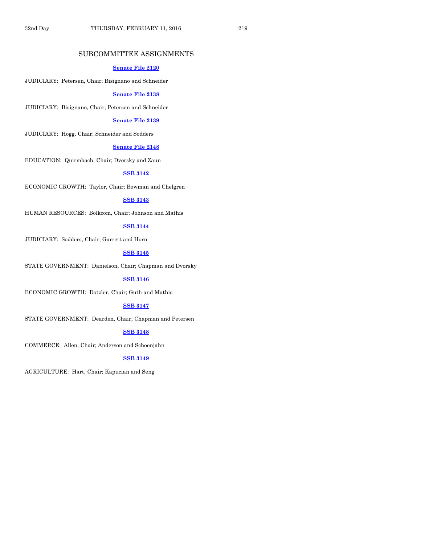# SUBCOMMITTEE ASSIGNMENTS

# **[Senate File 2120](http://coolice.legis.iowa.gov/Cool-ICE/default.asp?Category=billinfo&Service=Billbook&frame=1&GA=86&hbill=SF2120)**

JUDICIARY: Petersen, Chair; Bisignano and Schneider

#### **[Senate File 2138](http://coolice.legis.iowa.gov/Cool-ICE/default.asp?Category=billinfo&Service=Billbook&frame=1&GA=86&hbill=SF2138)**

JUDICIARY: Bisignano, Chair; Petersen and Schneider

#### **[Senate File 2139](http://coolice.legis.iowa.gov/Cool-ICE/default.asp?Category=billinfo&Service=Billbook&frame=1&GA=86&hbill=SF2139)**

JUDICIARY: Hogg, Chair; Schneider and Sodders

# **[Senate File 2148](http://coolice.legis.iowa.gov/Cool-ICE/default.asp?Category=billinfo&Service=Billbook&frame=1&GA=86&hbill=SF2148)**

EDUCATION: Quirmbach, Chair; Dvorsky and Zaun

# **[SSB 3142](http://coolice.legis.iowa.gov/Cool-ICE/default.asp?Category=billinfo&Service=Billbook&frame=1&GA=86&hbill=SSB3142)**

ECONOMIC GROWTH: Taylor, Chair; Bowman and Chelgren

# **[SSB 3143](http://coolice.legis.iowa.gov/Cool-ICE/default.asp?Category=billinfo&Service=Billbook&frame=1&GA=86&hbill=SSB3143)**

HUMAN RESOURCES: Bolkcom, Chair; Johnson and Mathis

# **[SSB 3144](http://coolice.legis.iowa.gov/Cool-ICE/default.asp?Category=billinfo&Service=Billbook&frame=1&GA=86&hbill=SSB3144)**

JUDICIARY: Sodders, Chair; Garrett and Horn

# **[SSB 3145](http://coolice.legis.iowa.gov/Cool-ICE/default.asp?Category=billinfo&Service=Billbook&frame=1&GA=86&hbill=SSB3145)**

STATE GOVERNMENT: Danielson, Chair; Chapman and Dvorsky

# **[SSB 3146](http://coolice.legis.iowa.gov/Cool-ICE/default.asp?Category=billinfo&Service=Billbook&frame=1&GA=86&hbill=SSB3146)**

ECONOMIC GROWTH: Dotzler, Chair; Guth and Mathis

# **[SSB 3147](http://coolice.legis.iowa.gov/Cool-ICE/default.asp?Category=billinfo&Service=Billbook&frame=1&GA=86&hbill=SSB3147)**

STATE GOVERNMENT: Dearden, Chair; Chapman and Petersen

# **[SSB 3148](http://coolice.legis.iowa.gov/Cool-ICE/default.asp?Category=billinfo&Service=Billbook&frame=1&GA=86&hbill=SSB3148)**

COMMERCE: Allen, Chair; Anderson and Schoenjahn

# **[SSB 3149](http://coolice.legis.iowa.gov/Cool-ICE/default.asp?Category=billinfo&Service=Billbook&frame=1&GA=86&hbill=SSB3149)**

AGRICULTURE: Hart, Chair; Kapucian and Seng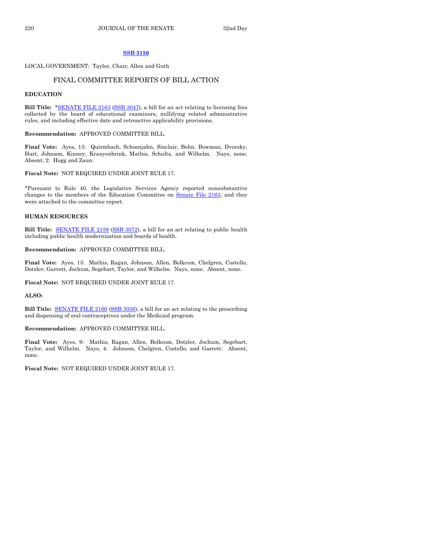#### **[SSB 3150](http://coolice.legis.iowa.gov/Cool-ICE/default.asp?Category=billinfo&Service=Billbook&frame=1&GA=86&hbill=SSB3150)**

#### LOCAL GOVERNMENT: Taylor, Chair; Allen and Guth

# FINAL COMMITTEE REPORTS OF BILL ACTION

#### **EDUCATION**

**Bill Title:** [\\*SENATE FILE 2163](http://coolice.legis.iowa.gov/Cool-ICE/default.asp?Category=billinfo&Service=Billbook&frame=1&GA=86&hbill=SF2163) [\(SSB 3047\)](http://coolice.legis.iowa.gov/Cool-ICE/default.asp?Category=billinfo&Service=Billbook&frame=1&GA=86&hbill=SSB3047), a bill for an act relating to licensing fees collected by the board of educational examiners, nullifying related administrative rules, and including effective date and retroactive applicability provisions.

#### **Recommendation:** APPROVED COMMITTEE BILL.

**Final Vote:** Ayes, 13: Quirmbach, Schoenjahn, Sinclair, Behn, Bowman, Dvorsky, Hart, Johnson, Kinney, Kraayenbrink, Mathis, Schultz, and Wilhelm. Nays, none. Absent, 2: Hogg and Zaun.

#### **Fiscal Note:** NOT REQUIRED UNDER JOINT RULE 17.

\*Pursuant to Rule 40, the Legislative Services Agency reported nonsubstantive changes to the members of the Education Committee on Senate [File 2163,](http://coolice.legis.iowa.gov/Cool-ICE/default.asp?Category=billinfo&Service=Billbook&frame=1&GA=86&hbill=SF2163) and they were attached to the committee report.

#### **HUMAN RESOURCES**

**Bill Title:** [SENATE FILE 2159](http://coolice.legis.iowa.gov/Cool-ICE/default.asp?Category=billinfo&Service=Billbook&frame=1&GA=86&hbill=SF2159) [\(SSB 3072\)](http://coolice.legis.iowa.gov/Cool-ICE/default.asp?Category=billinfo&Service=Billbook&frame=1&GA=86&hbill=SSB3072), a bill for an act relating to public health including public health modernization and boards of health.

#### **Recommendation:** APPROVED COMMITTEE BILL.

**Final Vote:** Ayes, 13: Mathis, Ragan, Johnson, Allen, Bolkcom, Chelgren, Costello, Dotzler, Garrett, Jochum, Segebart, Taylor, and Wilhelm. Nays, none. Absent, none.

**Fiscal Note:** NOT REQUIRED UNDER JOINT RULE 17.

# **ALSO:**

**Bill Title:** [SENATE FILE 2160](http://coolice.legis.iowa.gov/Cool-ICE/default.asp?Category=billinfo&Service=Billbook&frame=1&GA=86&hbill=SF2160) [\(SSB 3036\)](http://coolice.legis.iowa.gov/Cool-ICE/default.asp?Category=billinfo&Service=Billbook&frame=1&GA=86&hbill=SSB3036), a bill for an act relating to the prescribing and dispensing of oral contraceptives under the Medicaid program.

#### **Recommendation:** APPROVED COMMITTEE BILL.

**Final Vote:** Ayes, 9: Mathis, Ragan, Allen, Bolkcom, Dotzler, Jochum, Segebart, Taylor, and Wilhelm. Nays, 4: Johnson, Chelgren, Costello, and Garrett. Absent, none.

**Fiscal Note:** NOT REQUIRED UNDER JOINT RULE 17.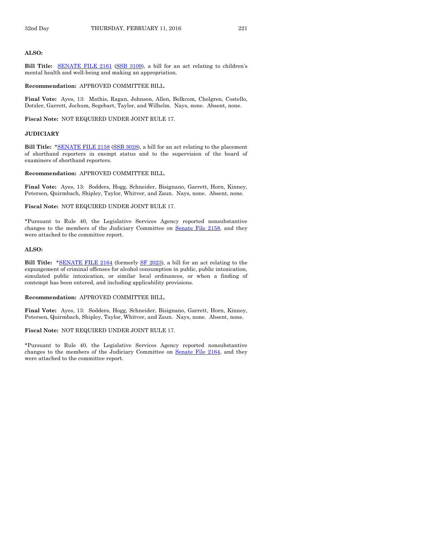#### **ALSO:**

Bill Title: **[SENATE FILE 2161](http://coolice.legis.iowa.gov/Cool-ICE/default.asp?Category=billinfo&Service=Billbook&frame=1&GA=86&hbill=SF2161)** [\(SSB 3109\)](http://coolice.legis.iowa.gov/Cool-ICE/default.asp?Category=billinfo&Service=Billbook&frame=1&GA=86&hbill=SSB3109), a bill for an act relating to children's mental health and well-being and making an appropriation.

**Recommendation:** APPROVED COMMITTEE BILL.

**Final Vote:** Ayes, 13: Mathis, Ragan, Johnson, Allen, Bolkcom, Chelgren, Costello, Dotzler, Garrett, Jochum, Segebart, Taylor, and Wilhelm. Nays, none. Absent, none.

**Fiscal Note:** NOT REQUIRED UNDER JOINT RULE 17.

#### **JUDICIARY**

**Bill Title:** [\\*SENATE FILE 2158](http://coolice.legis.iowa.gov/Cool-ICE/default.asp?Category=billinfo&Service=Billbook&frame=1&GA=86&hbill=SF2158) [\(SSB 3028\)](http://coolice.legis.iowa.gov/Cool-ICE/default.asp?Category=billinfo&Service=Billbook&frame=1&GA=86&hbill=SSB3028), a bill for an act relating to the placement of shorthand reporters in exempt status and to the supervision of the board of examiners of shorthand reporters.

#### **Recommendation:** APPROVED COMMITTEE BILL.

**Final Vote:** Ayes, 13: Sodders, Hogg, Schneider, Bisignano, Garrett, Horn, Kinney, Petersen, Quirmbach, Shipley, Taylor, Whitver, and Zaun. Nays, none. Absent, none.

**Fiscal Note:** NOT REQUIRED UNDER JOINT RULE 17.

\*Pursuant to Rule 40, the Legislative Services Agency reported nonsubstantive changes to the members of the Judiciary Committee on Senate [File 2158,](http://coolice.legis.iowa.gov/Cool-ICE/default.asp?Category=billinfo&Service=Billbook&frame=1&GA=86&hbill=SF2158) and they were attached to the committee report.

#### **ALSO:**

**Bill Title:** [\\*SENATE FILE 2164](http://coolice.legis.iowa.gov/Cool-ICE/default.asp?Category=billinfo&Service=Billbook&frame=1&GA=86&hbill=SF2164) (formerly [SF 2023\)](http://coolice.legis.iowa.gov/Cool-ICE/default.asp?Category=billinfo&Service=Billbook&frame=1&GA=86&hbill=SF2023), a bill for an act relating to the expungement of criminal offenses for alcohol consumption in public, public intoxication, simulated public intoxication, or similar local ordinances, or when a finding of contempt has been entered, and including applicability provisions.

**Recommendation:** APPROVED COMMITTEE BILL.

**Final Vote:** Ayes, 13: Sodders, Hogg, Schneider, Bisignano, Garrett, Horn, Kinney, Petersen, Quirmbach, Shipley, Taylor, Whitver, and Zaun. Nays, none. Absent, none.

#### **Fiscal Note:** NOT REQUIRED UNDER JOINT RULE 17.

\*Pursuant to Rule 40, the Legislative Services Agency reported nonsubstantive changes to the members of the Judiciary Committee on Senate [File 2164,](http://coolice.legis.iowa.gov/Cool-ICE/default.asp?Category=billinfo&Service=Billbook&frame=1&GA=86&hbill=SF2164) and they were attached to the committee report.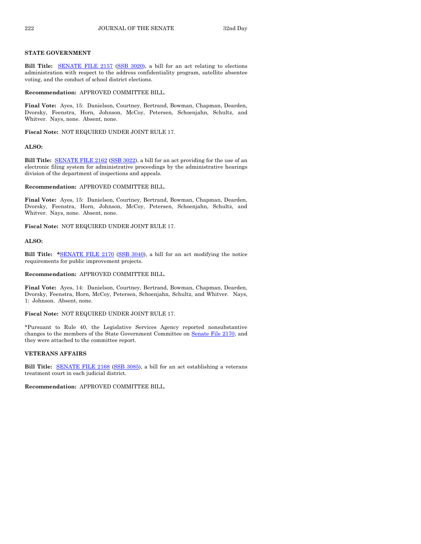#### **STATE GOVERNMENT**

**Bill Title:** [SENATE FILE 2157](http://coolice.legis.iowa.gov/Cool-ICE/default.asp?Category=billinfo&Service=Billbook&frame=1&GA=86&hbill=SF2157) [\(SSB 3020\)](http://coolice.legis.iowa.gov/Cool-ICE/default.asp?Category=billinfo&Service=Billbook&frame=1&GA=86&hbill=SSB3020), a bill for an act relating to elections administration with respect to the address confidentiality program, satellite absentee voting, and the conduct of school district elections.

**Recommendation:** APPROVED COMMITTEE BILL.

**Final Vote:** Ayes, 15: Danielson, Courtney, Bertrand, Bowman, Chapman, Dearden, Dvorsky, Feenstra, Horn, Johnson, McCoy, Petersen, Schoenjahn, Schultz, and Whitver. Nays, none. Absent, none.

**Fiscal Note:** NOT REQUIRED UNDER JOINT RULE 17.

#### **ALSO:**

**Bill Title:** [SENATE FILE 2162](http://coolice.legis.iowa.gov/Cool-ICE/default.asp?Category=billinfo&Service=Billbook&frame=1&GA=86&hbill=SF2162) [\(SSB 3022\)](http://coolice.legis.iowa.gov/Cool-ICE/default.asp?Category=billinfo&Service=Billbook&frame=1&GA=86&hbill=SSB3022), a bill for an act providing for the use of an electronic filing system for administrative proceedings by the administrative hearings division of the department of inspections and appeals.

**Recommendation:** APPROVED COMMITTEE BILL.

**Final Vote:** Ayes, 15: Danielson, Courtney, Bertrand, Bowman, Chapman, Dearden, Dvorsky, Feenstra, Horn, Johnson, McCoy, Petersen, Schoenjahn, Schultz, and Whitver. Nays, none. Absent, none.

**Fiscal Note:** NOT REQUIRED UNDER JOINT RULE 17.

#### **ALSO:**

**Bill Title: \***[SENATE FILE 2170](http://coolice.legis.iowa.gov/Cool-ICE/default.asp?Category=billinfo&Service=Billbook&frame=1&GA=86&hbill=SF2170) [\(SSB 3040\)](http://coolice.legis.iowa.gov/Cool-ICE/default.asp?Category=billinfo&Service=Billbook&frame=1&GA=86&hbill=SSB3040), a bill for an act modifying the notice requirements for public improvement projects.

**Recommendation:** APPROVED COMMITTEE BILL.

**Final Vote:** Ayes, 14: Danielson, Courtney, Bertrand, Bowman, Chapman, Dearden, Dvorsky, Feenstra, Horn, McCoy, Petersen, Schoenjahn, Schultz, and Whitver. Nays, 1: Johnson. Absent, none.

**Fiscal Note:** NOT REQUIRED UNDER JOINT RULE 17.

\*Pursuant to Rule 40, the Legislative Services Agency reported nonsubstantive changes to the members of the State Government Committee on Senate [File 2170,](http://coolice.legis.iowa.gov/Cool-ICE/default.asp?Category=billinfo&Service=Billbook&frame=1&GA=86&hbill=SF2170) and they were attached to the committee report.

#### **VETERANS AFFAIRS**

**Bill Title:** [SENATE FILE 2168](http://coolice.legis.iowa.gov/Cool-ICE/default.asp?Category=billinfo&Service=Billbook&frame=1&GA=86&hbill=SF2168) [\(SSB 3085\)](http://coolice.legis.iowa.gov/Cool-ICE/default.asp?Category=billinfo&Service=Billbook&frame=1&GA=86&hbill=SSB3085), a bill for an act establishing a veterans treatment court in each judicial district.

**Recommendation:** APPROVED COMMITTEE BILL.